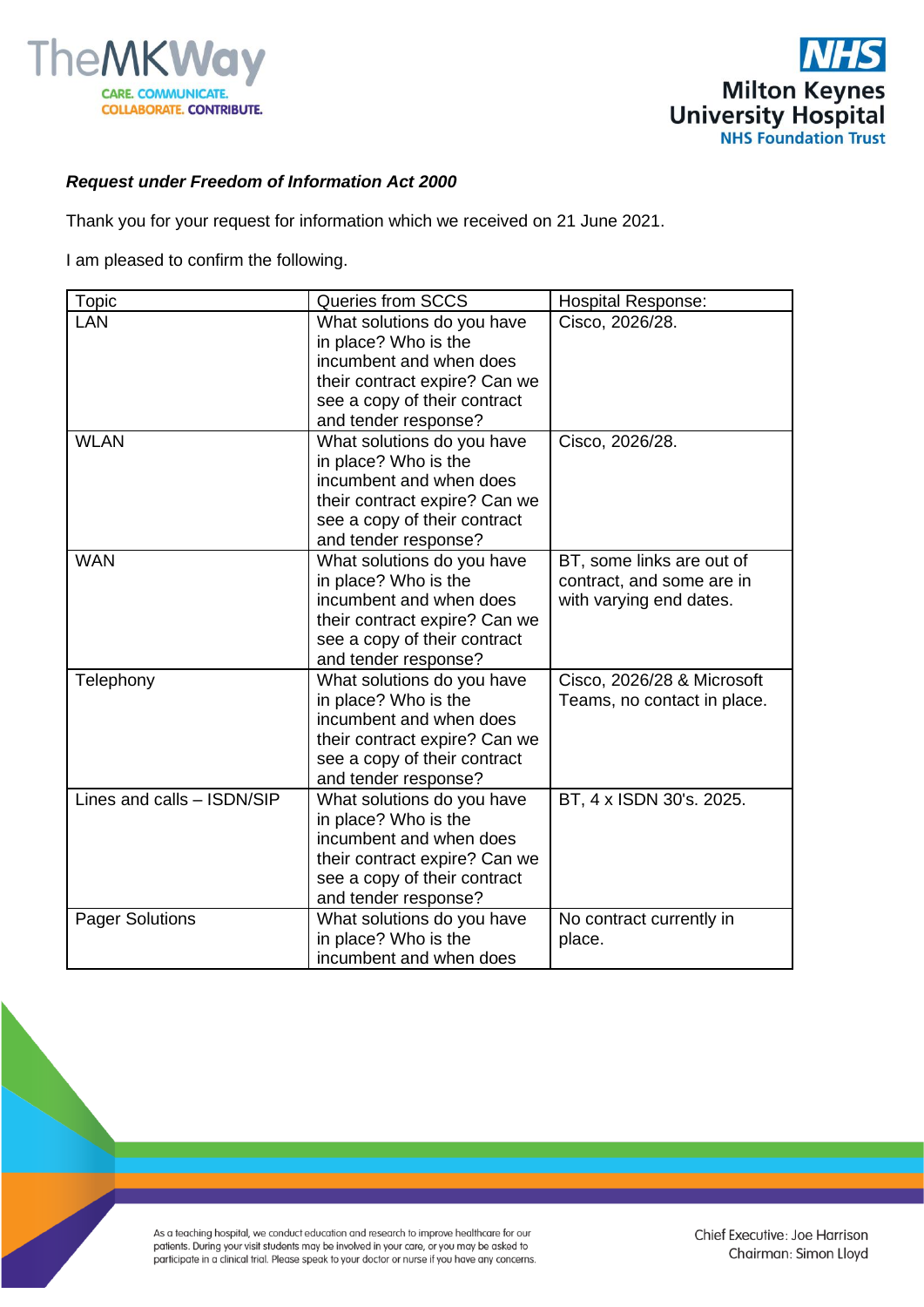



## *Request under Freedom of Information Act 2000*

Thank you for your request for information which we received on 21 June 2021.

I am pleased to confirm the following.

| <b>Topic</b>               | Queries from SCCS                                                                                                                                                      | Hospital Response:                                                                |
|----------------------------|------------------------------------------------------------------------------------------------------------------------------------------------------------------------|-----------------------------------------------------------------------------------|
| LAN                        | What solutions do you have<br>in place? Who is the<br>incumbent and when does<br>their contract expire? Can we<br>see a copy of their contract<br>and tender response? | Cisco, 2026/28.                                                                   |
| <b>WLAN</b>                | What solutions do you have<br>in place? Who is the<br>incumbent and when does<br>their contract expire? Can we<br>see a copy of their contract<br>and tender response? | Cisco, 2026/28.                                                                   |
| <b>WAN</b>                 | What solutions do you have<br>in place? Who is the<br>incumbent and when does<br>their contract expire? Can we<br>see a copy of their contract<br>and tender response? | BT, some links are out of<br>contract, and some are in<br>with varying end dates. |
| Telephony                  | What solutions do you have<br>in place? Who is the<br>incumbent and when does<br>their contract expire? Can we<br>see a copy of their contract<br>and tender response? | Cisco, 2026/28 & Microsoft<br>Teams, no contact in place.                         |
| Lines and calls - ISDN/SIP | What solutions do you have<br>in place? Who is the<br>incumbent and when does<br>their contract expire? Can we<br>see a copy of their contract<br>and tender response? | BT, 4 x ISDN 30's. 2025.                                                          |
| <b>Pager Solutions</b>     | What solutions do you have<br>in place? Who is the<br>incumbent and when does                                                                                          | No contract currently in<br>place.                                                |

As a teaching hospital, we conduct education and research to improve healthcare for our patients. During your visit students may be involved in your care, or you may be asked to participate in a clinical trial. Please speak to your doctor or nurse if you have any concerns.